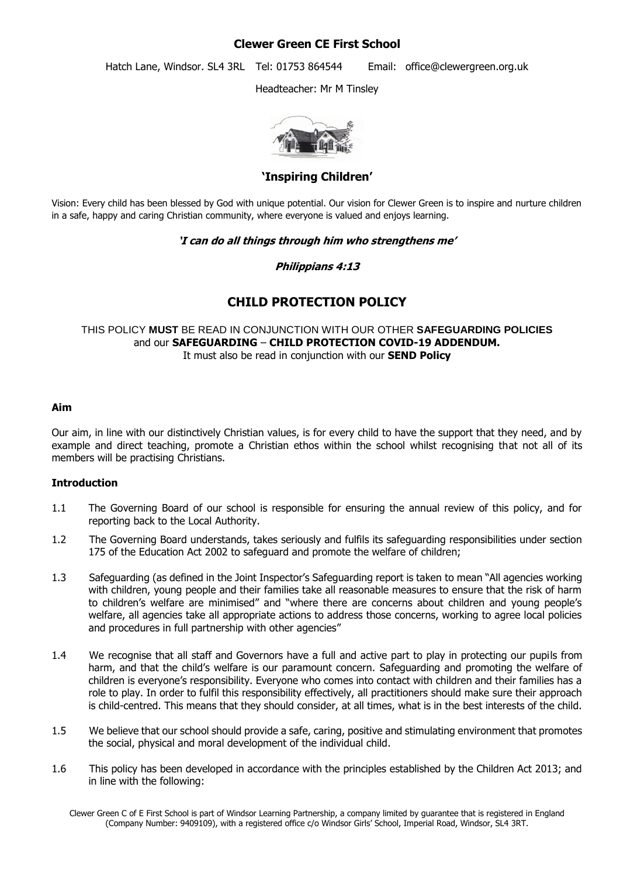# **Clewer Green CE First School**

Hatch Lane, Windsor. SL4 3RL Tel: 01753 864544 Email: office@clewergreen.org.uk

Headteacher: Mr M Tinsley



**'Inspiring Children'**

Vision: Every child has been blessed by God with unique potential. Our vision for Clewer Green is to inspire and nurture children in a safe, happy and caring Christian community, where everyone is valued and enjoys learning.

### **'I can do all things through him who strengthens me'**

### **Philippians 4:13**

# **CHILD PROTECTION POLICY**

#### THIS POLICY **MUST** BE READ IN CONJUNCTION WITH OUR OTHER **SAFEGUARDING POLICIES** and our **SAFEGUARDING** – **CHILD PROTECTION COVID-19 ADDENDUM.**  It must also be read in conjunction with our **SEND Policy**

### **Aim**

Our aim, in line with our distinctively Christian values, is for every child to have the support that they need, and by example and direct teaching, promote a Christian ethos within the school whilst recognising that not all of its members will be practising Christians.

### **Introduction**

- 1.1 The Governing Board of our school is responsible for ensuring the annual review of this policy, and for reporting back to the Local Authority.
- 1.2 The Governing Board understands, takes seriously and fulfils its safeguarding responsibilities under section 175 of the Education Act 2002 to safeguard and promote the welfare of children;
- 1.3 Safeguarding (as defined in the Joint Inspector's Safeguarding report is taken to mean "All agencies working with children, young people and their families take all reasonable measures to ensure that the risk of harm to children's welfare are minimised" and "where there are concerns about children and young people's welfare, all agencies take all appropriate actions to address those concerns, working to agree local policies and procedures in full partnership with other agencies"
- 1.4 We recognise that all staff and Governors have a full and active part to play in protecting our pupils from harm, and that the child's welfare is our paramount concern. Safeguarding and promoting the welfare of children is everyone's responsibility. Everyone who comes into contact with children and their families has a role to play. In order to fulfil this responsibility effectively, all practitioners should make sure their approach is child-centred. This means that they should consider, at all times, what is in the best interests of the child.
- 1.5 We believe that our school should provide a safe, caring, positive and stimulating environment that promotes the social, physical and moral development of the individual child.
- 1.6 This policy has been developed in accordance with the principles established by the Children Act 2013; and in line with the following:

Clewer Green C of E First School is part of Windsor Learning Partnership, a company limited by guarantee that is registered in England (Company Number: 9409109), with a registered office c/o Windsor Girls' School, Imperial Road, Windsor, SL4 3RT.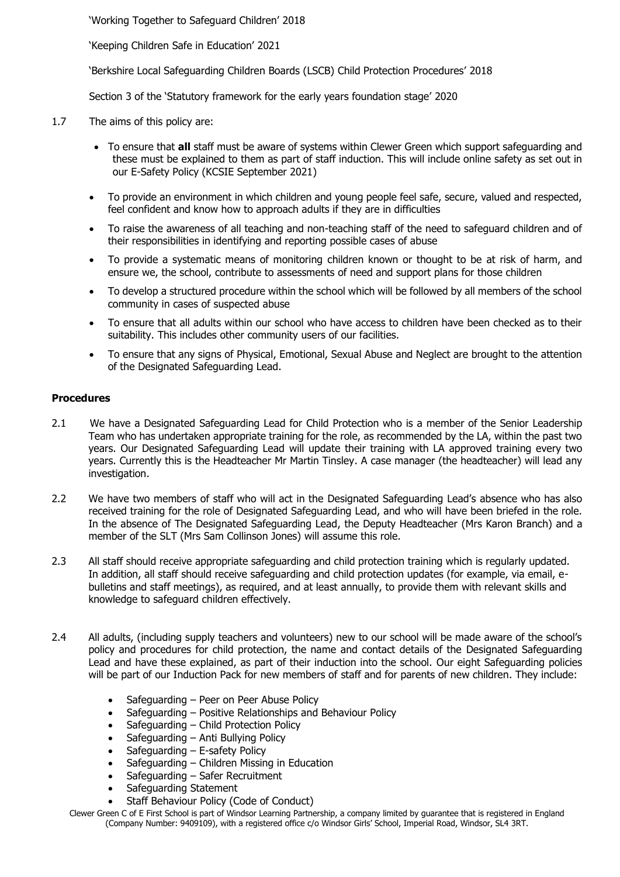'Working Together to Safeguard Children' 2018

'Keeping Children Safe in Education' 2021

'Berkshire Local Safeguarding Children Boards (LSCB) Child Protection Procedures' 2018

Section 3 of the 'Statutory framework for the early years foundation stage' 2020

- 1.7 The aims of this policy are:
	- To ensure that **all** staff must be aware of systems within Clewer Green which support safeguarding and these must be explained to them as part of staff induction. This will include online safety as set out in our E-Safety Policy (KCSIE September 2021)
	- To provide an environment in which children and young people feel safe, secure, valued and respected, feel confident and know how to approach adults if they are in difficulties
	- To raise the awareness of all teaching and non-teaching staff of the need to safeguard children and of their responsibilities in identifying and reporting possible cases of abuse
	- To provide a systematic means of monitoring children known or thought to be at risk of harm, and ensure we, the school, contribute to assessments of need and support plans for those children
	- To develop a structured procedure within the school which will be followed by all members of the school community in cases of suspected abuse
	- To ensure that all adults within our school who have access to children have been checked as to their suitability. This includes other community users of our facilities.
	- To ensure that any signs of Physical, Emotional, Sexual Abuse and Neglect are brought to the attention of the Designated Safeguarding Lead.

### **Procedures**

- 2.1 We have a Designated Safeguarding Lead for Child Protection who is a member of the Senior Leadership Team who has undertaken appropriate training for the role, as recommended by the LA, within the past two years. Our Designated Safeguarding Lead will update their training with LA approved training every two years. Currently this is the Headteacher Mr Martin Tinsley. A case manager (the headteacher) will lead any investigation.
- 2.2 We have two members of staff who will act in the Designated Safeguarding Lead's absence who has also received training for the role of Designated Safeguarding Lead, and who will have been briefed in the role. In the absence of The Designated Safeguarding Lead, the Deputy Headteacher (Mrs Karon Branch) and a member of the SLT (Mrs Sam Collinson Jones) will assume this role.
- 2.3 All staff should receive appropriate safeguarding and child protection training which is regularly updated. In addition, all staff should receive safeguarding and child protection updates (for example, via email, ebulletins and staff meetings), as required, and at least annually, to provide them with relevant skills and knowledge to safeguard children effectively.
- 2.4 All adults, (including supply teachers and volunteers) new to our school will be made aware of the school's policy and procedures for child protection, the name and contact details of the Designated Safeguarding Lead and have these explained, as part of their induction into the school. Our eight Safeguarding policies will be part of our Induction Pack for new members of staff and for parents of new children. They include:
	- Safeguarding Peer on Peer Abuse Policy
	- Safeguarding Positive Relationships and Behaviour Policy
	- Safeguarding Child Protection Policy
	- Safeguarding Anti Bullying Policy
	- Safeguarding E-safety Policy
	- Safeguarding Children Missing in Education
	- Safeguarding Safer Recruitment
	- Safeguarding Statement
	- Staff Behaviour Policy (Code of Conduct)

Clewer Green C of E First School is part of Windsor Learning Partnership, a company limited by guarantee that is registered in England (Company Number: 9409109), with a registered office c/o Windsor Girls' School, Imperial Road, Windsor, SL4 3RT.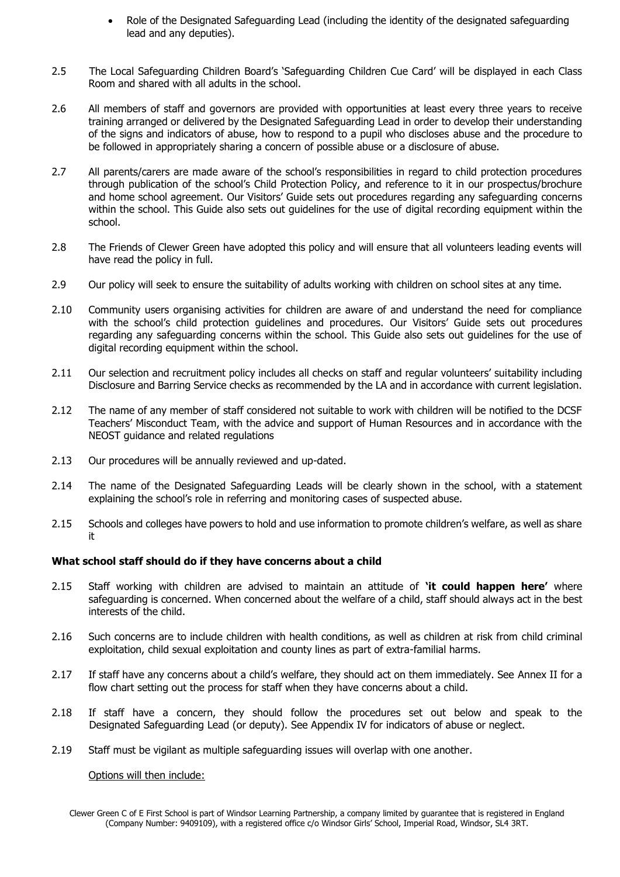- Role of the Designated Safeguarding Lead (including the identity of the designated safeguarding lead and any deputies).
- 2.5 The Local Safeguarding Children Board's 'Safeguarding Children Cue Card' will be displayed in each Class Room and shared with all adults in the school.
- 2.6 All members of staff and governors are provided with opportunities at least every three years to receive training arranged or delivered by the Designated Safeguarding Lead in order to develop their understanding of the signs and indicators of abuse, how to respond to a pupil who discloses abuse and the procedure to be followed in appropriately sharing a concern of possible abuse or a disclosure of abuse.
- 2.7 All parents/carers are made aware of the school's responsibilities in regard to child protection procedures through publication of the school's Child Protection Policy, and reference to it in our prospectus/brochure and home school agreement. Our Visitors' Guide sets out procedures regarding any safeguarding concerns within the school. This Guide also sets out guidelines for the use of digital recording equipment within the school.
- 2.8 The Friends of Clewer Green have adopted this policy and will ensure that all volunteers leading events will have read the policy in full.
- 2.9 Our policy will seek to ensure the suitability of adults working with children on school sites at any time.
- 2.10 Community users organising activities for children are aware of and understand the need for compliance with the school's child protection guidelines and procedures. Our Visitors' Guide sets out procedures regarding any safeguarding concerns within the school. This Guide also sets out guidelines for the use of digital recording equipment within the school.
- 2.11 Our selection and recruitment policy includes all checks on staff and regular volunteers' suitability including Disclosure and Barring Service checks as recommended by the LA and in accordance with current legislation.
- 2.12 The name of any member of staff considered not suitable to work with children will be notified to the DCSF Teachers' Misconduct Team, with the advice and support of Human Resources and in accordance with the NEOST guidance and related regulations
- 2.13 Our procedures will be annually reviewed and up-dated.
- 2.14 The name of the Designated Safeguarding Leads will be clearly shown in the school, with a statement explaining the school's role in referring and monitoring cases of suspected abuse.
- 2.15 Schools and colleges have powers to hold and use information to promote children's welfare, as well as share it

### **What school staff should do if they have concerns about a child**

- 2.15 Staff working with children are advised to maintain an attitude of **'it could happen here'** where safeguarding is concerned. When concerned about the welfare of a child, staff should always act in the best interests of the child.
- 2.16 Such concerns are to include children with health conditions, as well as children at risk from child criminal exploitation, child sexual exploitation and county lines as part of extra-familial harms.
- 2.17 If staff have any concerns about a child's welfare, they should act on them immediately. See Annex II for a flow chart setting out the process for staff when they have concerns about a child.
- 2.18 If staff have a concern, they should follow the procedures set out below and speak to the Designated Safeguarding Lead (or deputy). See Appendix IV for indicators of abuse or neglect.
- 2.19 Staff must be vigilant as multiple safeguarding issues will overlap with one another.

#### Options will then include:

Clewer Green C of E First School is part of Windsor Learning Partnership, a company limited by guarantee that is registered in England (Company Number: 9409109), with a registered office c/o Windsor Girls' School, Imperial Road, Windsor, SL4 3RT.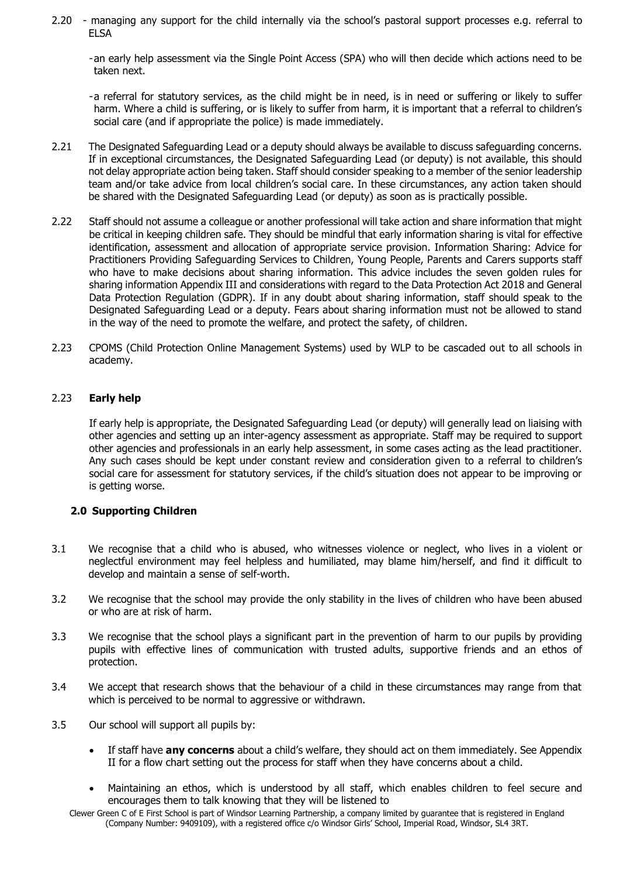- 2.20 managing any support for the child internally via the school's pastoral support processes e.g. referral to **ELSA** 
	- -an early help assessment via the Single Point Access (SPA) who will then decide which actions need to be taken next.

-a referral for statutory services, as the child might be in need, is in need or suffering or likely to suffer harm. Where a child is suffering, or is likely to suffer from harm, it is important that a referral to children's social care (and if appropriate the police) is made immediately.

- 2.21 The Designated Safeguarding Lead or a deputy should always be available to discuss safeguarding concerns. If in exceptional circumstances, the Designated Safeguarding Lead (or deputy) is not available, this should not delay appropriate action being taken. Staff should consider speaking to a member of the senior leadership team and/or take advice from local children's social care. In these circumstances, any action taken should be shared with the Designated Safeguarding Lead (or deputy) as soon as is practically possible.
- 2.22 Staff should not assume a colleague or another professional will take action and share information that might be critical in keeping children safe. They should be mindful that early information sharing is vital for effective identification, assessment and allocation of appropriate service provision. Information Sharing: Advice for Practitioners Providing Safeguarding Services to Children, Young People, Parents and Carers supports staff who have to make decisions about sharing information. This advice includes the seven golden rules for sharing information Appendix III and considerations with regard to the Data Protection Act 2018 and General Data Protection Regulation (GDPR). If in any doubt about sharing information, staff should speak to the Designated Safeguarding Lead or a deputy. Fears about sharing information must not be allowed to stand in the way of the need to promote the welfare, and protect the safety, of children.
- 2.23 CPOMS (Child Protection Online Management Systems) used by WLP to be cascaded out to all schools in academy.

### 2.23 **Early help**

If early help is appropriate, the Designated Safeguarding Lead (or deputy) will generally lead on liaising with other agencies and setting up an inter-agency assessment as appropriate. Staff may be required to support other agencies and professionals in an early help assessment, in some cases acting as the lead practitioner. Any such cases should be kept under constant review and consideration given to a referral to children's social care for assessment for statutory services, if the child's situation does not appear to be improving or is getting worse.

### **2.0 Supporting Children**

- 3.1 We recognise that a child who is abused, who witnesses violence or neglect, who lives in a violent or neglectful environment may feel helpless and humiliated, may blame him/herself, and find it difficult to develop and maintain a sense of self-worth.
- 3.2 We recognise that the school may provide the only stability in the lives of children who have been abused or who are at risk of harm.
- 3.3 We recognise that the school plays a significant part in the prevention of harm to our pupils by providing pupils with effective lines of communication with trusted adults, supportive friends and an ethos of protection.
- 3.4 We accept that research shows that the behaviour of a child in these circumstances may range from that which is perceived to be normal to aggressive or withdrawn.
- 3.5 Our school will support all pupils by:
	- If staff have **any concerns** about a child's welfare, they should act on them immediately. See Appendix II for a flow chart setting out the process for staff when they have concerns about a child.
	- Maintaining an ethos, which is understood by all staff, which enables children to feel secure and encourages them to talk knowing that they will be listened to
	- Clewer Green C of E First School is part of Windsor Learning Partnership, a company limited by guarantee that is registered in England (Company Number: 9409109), with a registered office c/o Windsor Girls' School, Imperial Road, Windsor, SL4 3RT.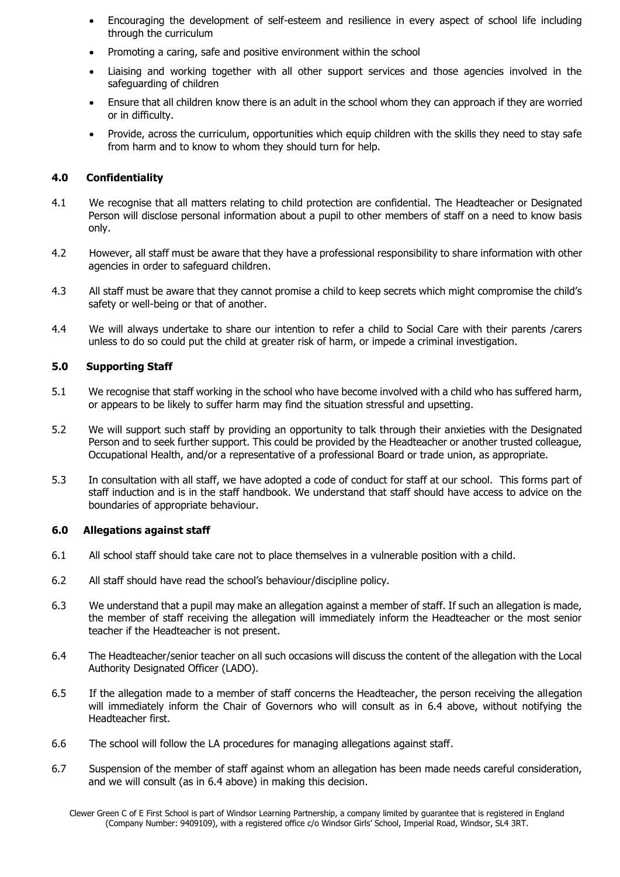- Encouraging the development of self-esteem and resilience in every aspect of school life including through the curriculum
- Promoting a caring, safe and positive environment within the school
- Liaising and working together with all other support services and those agencies involved in the safeguarding of children
- Ensure that all children know there is an adult in the school whom they can approach if they are worried or in difficulty.
- Provide, across the curriculum, opportunities which equip children with the skills they need to stay safe from harm and to know to whom they should turn for help.

#### **4.0 Confidentiality**

- 4.1 We recognise that all matters relating to child protection are confidential. The Headteacher or Designated Person will disclose personal information about a pupil to other members of staff on a need to know basis only.
- 4.2 However, all staff must be aware that they have a professional responsibility to share information with other agencies in order to safeguard children.
- 4.3 All staff must be aware that they cannot promise a child to keep secrets which might compromise the child's safety or well-being or that of another.
- 4.4 We will always undertake to share our intention to refer a child to Social Care with their parents /carers unless to do so could put the child at greater risk of harm, or impede a criminal investigation.

#### **5.0 Supporting Staff**

- 5.1 We recognise that staff working in the school who have become involved with a child who has suffered harm, or appears to be likely to suffer harm may find the situation stressful and upsetting.
- 5.2 We will support such staff by providing an opportunity to talk through their anxieties with the Designated Person and to seek further support. This could be provided by the Headteacher or another trusted colleague, Occupational Health, and/or a representative of a professional Board or trade union, as appropriate.
- 5.3 In consultation with all staff, we have adopted a code of conduct for staff at our school. This forms part of staff induction and is in the staff handbook. We understand that staff should have access to advice on the boundaries of appropriate behaviour.

#### **6.0 Allegations against staff**

- 6.1 All school staff should take care not to place themselves in a vulnerable position with a child.
- 6.2 All staff should have read the school's behaviour/discipline policy.
- 6.3 We understand that a pupil may make an allegation against a member of staff. If such an allegation is made, the member of staff receiving the allegation will immediately inform the Headteacher or the most senior teacher if the Headteacher is not present.
- 6.4 The Headteacher/senior teacher on all such occasions will discuss the content of the allegation with the Local Authority Designated Officer (LADO).
- 6.5 If the allegation made to a member of staff concerns the Headteacher, the person receiving the allegation will immediately inform the Chair of Governors who will consult as in 6.4 above, without notifying the Headteacher first.
- 6.6 The school will follow the LA procedures for managing allegations against staff.
- 6.7 Suspension of the member of staff against whom an allegation has been made needs careful consideration, and we will consult (as in 6.4 above) in making this decision.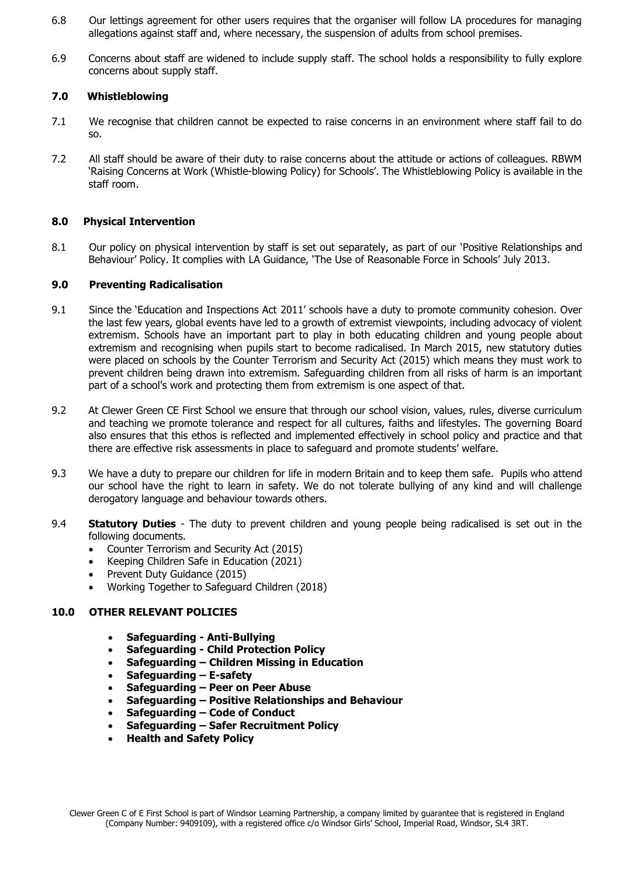- 6.8 Our lettings agreement for other users requires that the organiser will follow LA procedures for managing allegations against staff and, where necessary, the suspension of adults from school premises.
- 6.9 Concerns about staff are widened to include supply staff. The school holds a responsibility to fully explore concerns about supply staff.

### **7.0 Whistleblowing**

- 7.1 We recognise that children cannot be expected to raise concerns in an environment where staff fail to do so.
- 7.2 All staff should be aware of their duty to raise concerns about the attitude or actions of colleagues. RBWM 'Raising Concerns at Work (Whistle-blowing Policy) for Schools'. The Whistleblowing Policy is available in the staff room.

### **8.0 Physical Intervention**

8.1 Our policy on physical intervention by staff is set out separately, as part of our 'Positive Relationships and Behaviour' Policy. It complies with LA Guidance, 'The Use of Reasonable Force in Schools' July 2013.

### **9.0 Preventing Radicalisation**

- 9.1 Since the 'Education and Inspections Act 2011' schools have a duty to promote community cohesion. Over the last few years, global events have led to a growth of extremist viewpoints, including advocacy of violent extremism. Schools have an important part to play in both educating children and young people about extremism and recognising when pupils start to become radicalised. In March 2015, new statutory duties were placed on schools by the Counter Terrorism and Security Act (2015) which means they must work to prevent children being drawn into extremism. Safeguarding children from all risks of harm is an important part of a school's work and protecting them from extremism is one aspect of that.
- 9.2 At Clewer Green CE First School we ensure that through our school vision, values, rules, diverse curriculum and teaching we promote tolerance and respect for all cultures, faiths and lifestyles. The governing Board also ensures that this ethos is reflected and implemented effectively in school policy and practice and that there are effective risk assessments in place to safeguard and promote students' welfare.
- 9.3 We have a duty to prepare our children for life in modern Britain and to keep them safe. Pupils who attend our school have the right to learn in safety. We do not tolerate bullying of any kind and will challenge derogatory language and behaviour towards others.
- 9.4 **Statutory Duties** The duty to prevent children and young people being radicalised is set out in the following documents.
	- Counter Terrorism and Security Act (2015)
	- Keeping Children Safe in Education (2021)
	- Prevent Duty Guidance (2015)
	- Working Together to Safeguard Children (2018)

### **10.0 OTHER RELEVANT POLICIES**

- **Safeguarding - Anti-Bullying**
- **Safeguarding - Child Protection Policy**
- **Safeguarding – Children Missing in Education**
- **Safeguarding – E-safety**
- **Safeguarding – Peer on Peer Abuse**
- **Safeguarding – Positive Relationships and Behaviour**
- **Safeguarding – Code of Conduct**
- **Safeguarding – Safer Recruitment Policy**
- **Health and Safety Policy**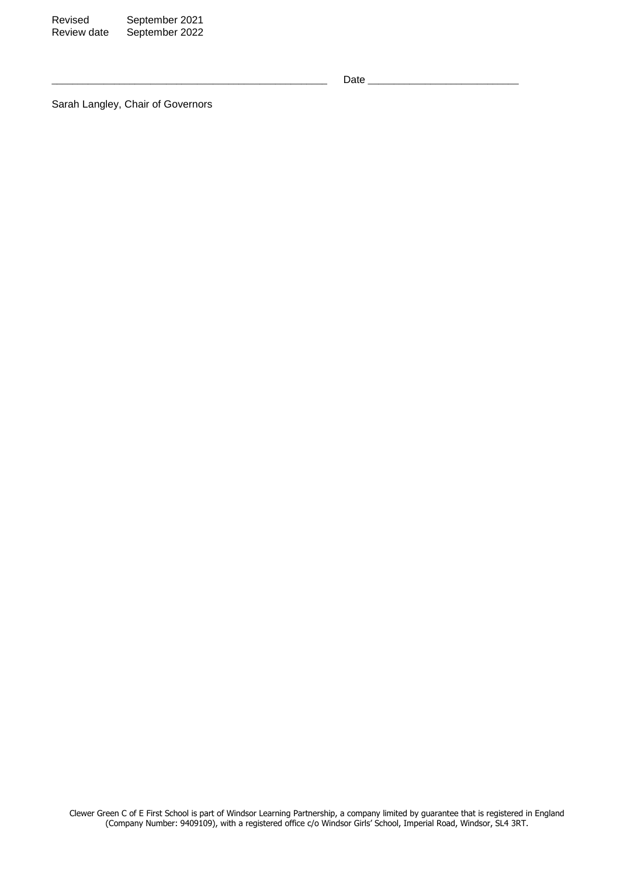Revised September 2021 Review date September 2022

\_\_\_\_\_\_\_\_\_\_\_\_\_\_\_\_\_\_\_\_\_\_\_\_\_\_\_\_\_\_\_\_\_\_\_\_\_\_\_\_\_\_\_\_\_\_\_\_\_\_\_\_\_ Date \_\_\_\_\_\_\_\_\_\_\_\_\_\_\_\_\_\_\_\_\_\_\_\_\_\_\_\_\_

Sarah Langley, Chair of Governors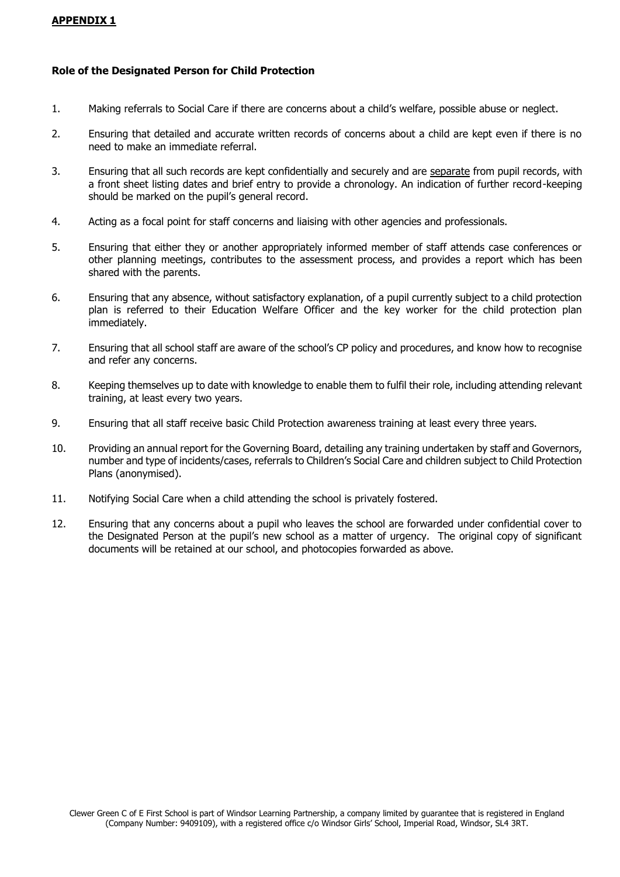#### **APPENDIX 1**

#### **Role of the Designated Person for Child Protection**

- 1. Making referrals to Social Care if there are concerns about a child's welfare, possible abuse or neglect.
- 2. Ensuring that detailed and accurate written records of concerns about a child are kept even if there is no need to make an immediate referral.
- 3. Ensuring that all such records are kept confidentially and securely and are separate from pupil records, with a front sheet listing dates and brief entry to provide a chronology. An indication of further record-keeping should be marked on the pupil's general record.
- 4. Acting as a focal point for staff concerns and liaising with other agencies and professionals.
- 5. Ensuring that either they or another appropriately informed member of staff attends case conferences or other planning meetings, contributes to the assessment process, and provides a report which has been shared with the parents.
- 6. Ensuring that any absence, without satisfactory explanation, of a pupil currently subject to a child protection plan is referred to their Education Welfare Officer and the key worker for the child protection plan immediately.
- 7. Ensuring that all school staff are aware of the school's CP policy and procedures, and know how to recognise and refer any concerns.
- 8. Keeping themselves up to date with knowledge to enable them to fulfil their role, including attending relevant training, at least every two years.
- 9. Ensuring that all staff receive basic Child Protection awareness training at least every three years.
- 10. Providing an annual report for the Governing Board, detailing any training undertaken by staff and Governors, number and type of incidents/cases, referrals to Children's Social Care and children subject to Child Protection Plans (anonymised).
- 11. Notifying Social Care when a child attending the school is privately fostered.
- 12. Ensuring that any concerns about a pupil who leaves the school are forwarded under confidential cover to the Designated Person at the pupil's new school as a matter of urgency. The original copy of significant documents will be retained at our school, and photocopies forwarded as above.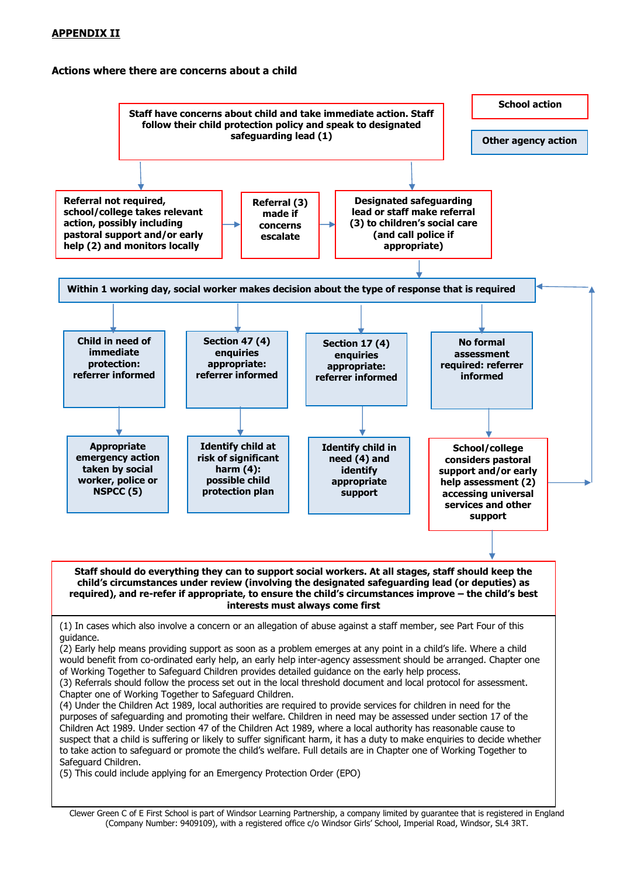# **APPENDIX II**

#### **Actions where there are concerns about a child**



Clewer Green C of E First School is part of Windsor Learning Partnership, a company limited by guarantee that is registered in England (Company Number: 9409109), with a registered office c/o Windsor Girls' School, Imperial Road, Windsor, SL4 3RT.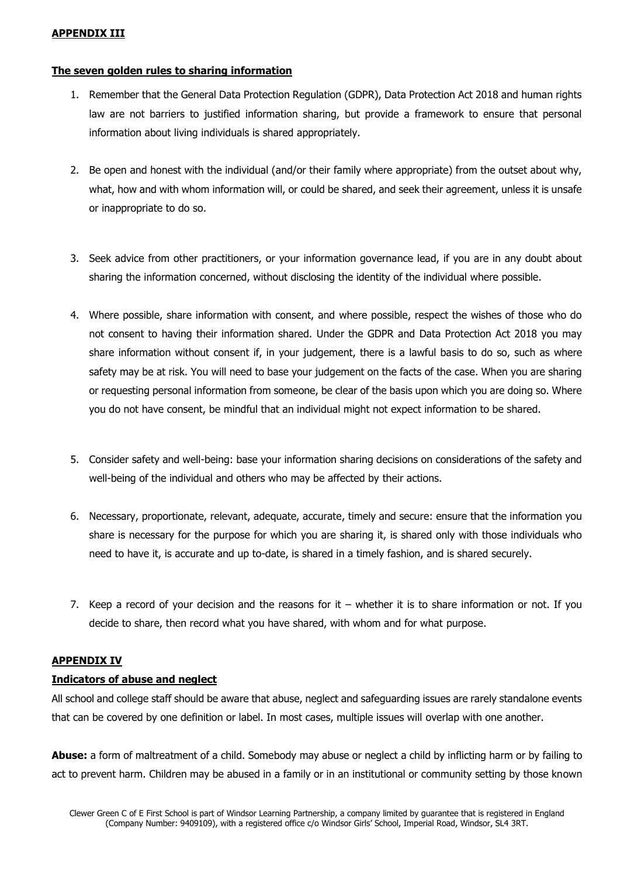# **APPENDIX III**

### **The seven golden rules to sharing information**

- 1. Remember that the General Data Protection Regulation (GDPR), Data Protection Act 2018 and human rights law are not barriers to justified information sharing, but provide a framework to ensure that personal information about living individuals is shared appropriately.
- 2. Be open and honest with the individual (and/or their family where appropriate) from the outset about why, what, how and with whom information will, or could be shared, and seek their agreement, unless it is unsafe or inappropriate to do so.
- 3. Seek advice from other practitioners, or your information governance lead, if you are in any doubt about sharing the information concerned, without disclosing the identity of the individual where possible.
- 4. Where possible, share information with consent, and where possible, respect the wishes of those who do not consent to having their information shared. Under the GDPR and Data Protection Act 2018 you may share information without consent if, in your judgement, there is a lawful basis to do so, such as where safety may be at risk. You will need to base your judgement on the facts of the case. When you are sharing or requesting personal information from someone, be clear of the basis upon which you are doing so. Where you do not have consent, be mindful that an individual might not expect information to be shared.
- 5. Consider safety and well-being: base your information sharing decisions on considerations of the safety and well-being of the individual and others who may be affected by their actions.
- 6. Necessary, proportionate, relevant, adequate, accurate, timely and secure: ensure that the information you share is necessary for the purpose for which you are sharing it, is shared only with those individuals who need to have it, is accurate and up to-date, is shared in a timely fashion, and is shared securely.
- 7. Keep a record of your decision and the reasons for it whether it is to share information or not. If you decide to share, then record what you have shared, with whom and for what purpose.

### **APPENDIX IV**

# **Indicators of abuse and neglect**

All school and college staff should be aware that abuse, neglect and safeguarding issues are rarely standalone events that can be covered by one definition or label. In most cases, multiple issues will overlap with one another.

**Abuse:** a form of maltreatment of a child. Somebody may abuse or neglect a child by inflicting harm or by failing to act to prevent harm. Children may be abused in a family or in an institutional or community setting by those known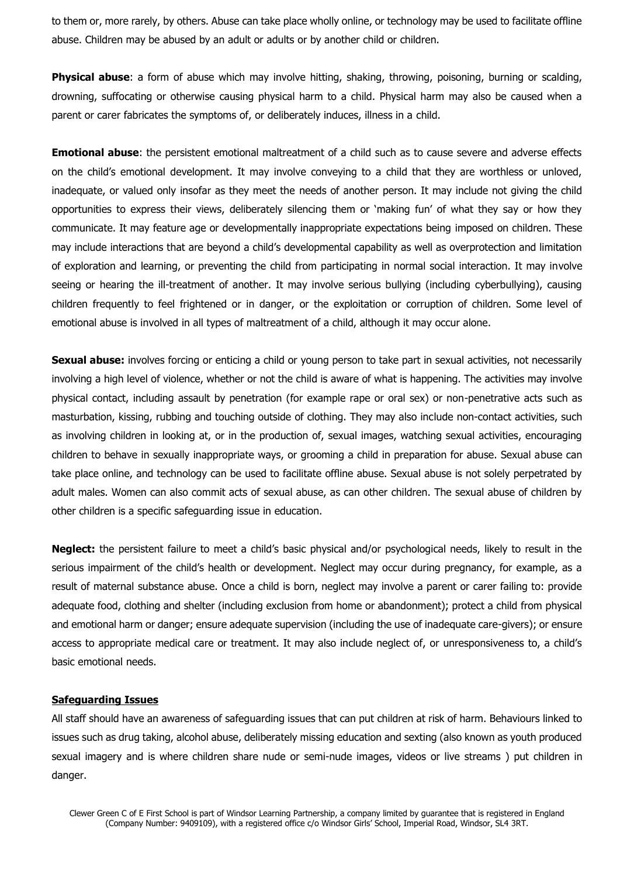to them or, more rarely, by others. Abuse can take place wholly online, or technology may be used to facilitate offline abuse. Children may be abused by an adult or adults or by another child or children.

**Physical abuse**: a form of abuse which may involve hitting, shaking, throwing, poisoning, burning or scalding, drowning, suffocating or otherwise causing physical harm to a child. Physical harm may also be caused when a parent or carer fabricates the symptoms of, or deliberately induces, illness in a child.

**Emotional abuse**: the persistent emotional maltreatment of a child such as to cause severe and adverse effects on the child's emotional development. It may involve conveying to a child that they are worthless or unloved, inadequate, or valued only insofar as they meet the needs of another person. It may include not giving the child opportunities to express their views, deliberately silencing them or 'making fun' of what they say or how they communicate. It may feature age or developmentally inappropriate expectations being imposed on children. These may include interactions that are beyond a child's developmental capability as well as overprotection and limitation of exploration and learning, or preventing the child from participating in normal social interaction. It may involve seeing or hearing the ill-treatment of another. It may involve serious bullying (including cyberbullying), causing children frequently to feel frightened or in danger, or the exploitation or corruption of children. Some level of emotional abuse is involved in all types of maltreatment of a child, although it may occur alone.

**Sexual abuse:** involves forcing or enticing a child or young person to take part in sexual activities, not necessarily involving a high level of violence, whether or not the child is aware of what is happening. The activities may involve physical contact, including assault by penetration (for example rape or oral sex) or non-penetrative acts such as masturbation, kissing, rubbing and touching outside of clothing. They may also include non-contact activities, such as involving children in looking at, or in the production of, sexual images, watching sexual activities, encouraging children to behave in sexually inappropriate ways, or grooming a child in preparation for abuse. Sexual abuse can take place online, and technology can be used to facilitate offline abuse. Sexual abuse is not solely perpetrated by adult males. Women can also commit acts of sexual abuse, as can other children. The sexual abuse of children by other children is a specific safeguarding issue in education.

**Neglect:** the persistent failure to meet a child's basic physical and/or psychological needs, likely to result in the serious impairment of the child's health or development. Neglect may occur during pregnancy, for example, as a result of maternal substance abuse. Once a child is born, neglect may involve a parent or carer failing to: provide adequate food, clothing and shelter (including exclusion from home or abandonment); protect a child from physical and emotional harm or danger; ensure adequate supervision (including the use of inadequate care-givers); or ensure access to appropriate medical care or treatment. It may also include neglect of, or unresponsiveness to, a child's basic emotional needs.

#### **Safeguarding Issues**

All staff should have an awareness of safeguarding issues that can put children at risk of harm. Behaviours linked to issues such as drug taking, alcohol abuse, deliberately missing education and sexting (also known as youth produced sexual imagery and is where children share nude or semi-nude images, videos or live streams ) put children in danger.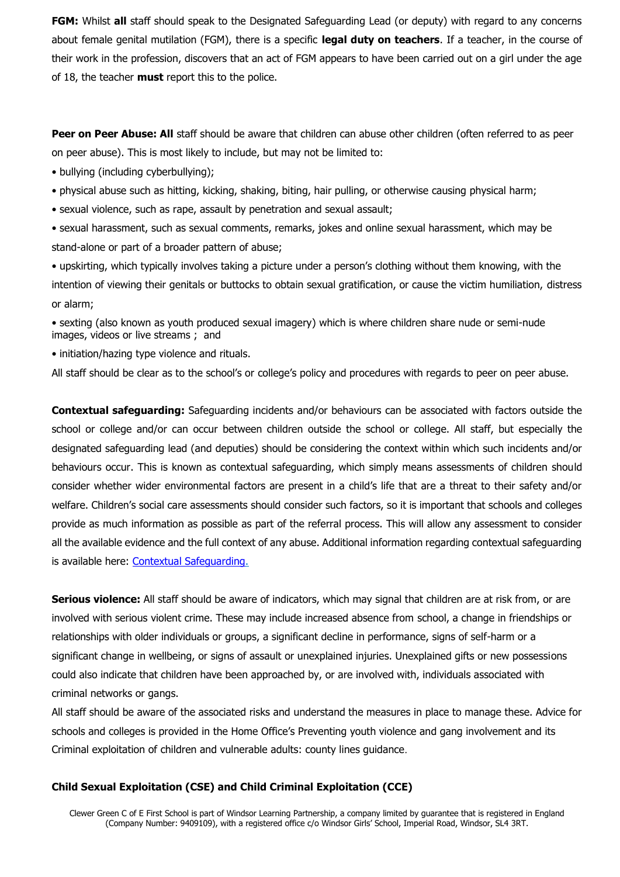**FGM:** Whilst **all** staff should speak to the Designated Safeguarding Lead (or deputy) with regard to any concerns about female genital mutilation (FGM), there is a specific **legal duty on teachers**. If a teacher, in the course of their work in the profession, discovers that an act of FGM appears to have been carried out on a girl under the age of 18, the teacher **must** report this to the police.

**Peer on Peer Abuse: All** staff should be aware that children can abuse other children (often referred to as peer on peer abuse). This is most likely to include, but may not be limited to:

- bullying (including cyberbullying);
- physical abuse such as hitting, kicking, shaking, biting, hair pulling, or otherwise causing physical harm;
- sexual violence, such as rape, assault by penetration and sexual assault;
- sexual harassment, such as sexual comments, remarks, jokes and online sexual harassment, which may be stand-alone or part of a broader pattern of abuse;
- upskirting, which typically involves taking a picture under a person's clothing without them knowing, with the intention of viewing their genitals or buttocks to obtain sexual gratification, or cause the victim humiliation, distress or alarm;
- sexting (also known as youth produced sexual imagery) which is where children share nude or semi-nude images, videos or live streams ; and
- initiation/hazing type violence and rituals.
- All staff should be clear as to the school's or college's policy and procedures with regards to peer on peer abuse.

**Contextual safeguarding:** Safeguarding incidents and/or behaviours can be associated with factors outside the school or college and/or can occur between children outside the school or college. All staff, but especially the designated safeguarding lead (and deputies) should be considering the context within which such incidents and/or behaviours occur. This is known as contextual safeguarding, which simply means assessments of children should consider whether wider environmental factors are present in a child's life that are a threat to their safety and/or welfare. Children's social care assessments should consider such factors, so it is important that schools and colleges provide as much information as possible as part of the referral process. This will allow any assessment to consider all the available evidence and the full context of any abuse. Additional information regarding contextual safeguarding is available here: [Contextual Safeguarding.](https://contextualsafeguarding.org.uk/)

**Serious violence:** All staff should be aware of indicators, which may signal that children are at risk from, or are involved with serious violent crime. These may include increased absence from school, a change in friendships or relationships with older individuals or groups, a significant decline in performance, signs of self-harm or a significant change in wellbeing, or signs of assault or unexplained injuries. Unexplained gifts or new possessions could also indicate that children have been approached by, or are involved with, individuals associated with criminal networks or gangs.

All staff should be aware of the associated risks and understand the measures in place to manage these. Advice for schools and colleges is provided in the Home Office's Preventing youth violence and gang involvement and its Criminal exploitation of children and vulnerable adults: county lines guidance.

### **Child Sexual Exploitation (CSE) and Child Criminal Exploitation (CCE)**

Clewer Green C of E First School is part of Windsor Learning Partnership, a company limited by guarantee that is registered in England (Company Number: 9409109), with a registered office c/o Windsor Girls' School, Imperial Road, Windsor, SL4 3RT.